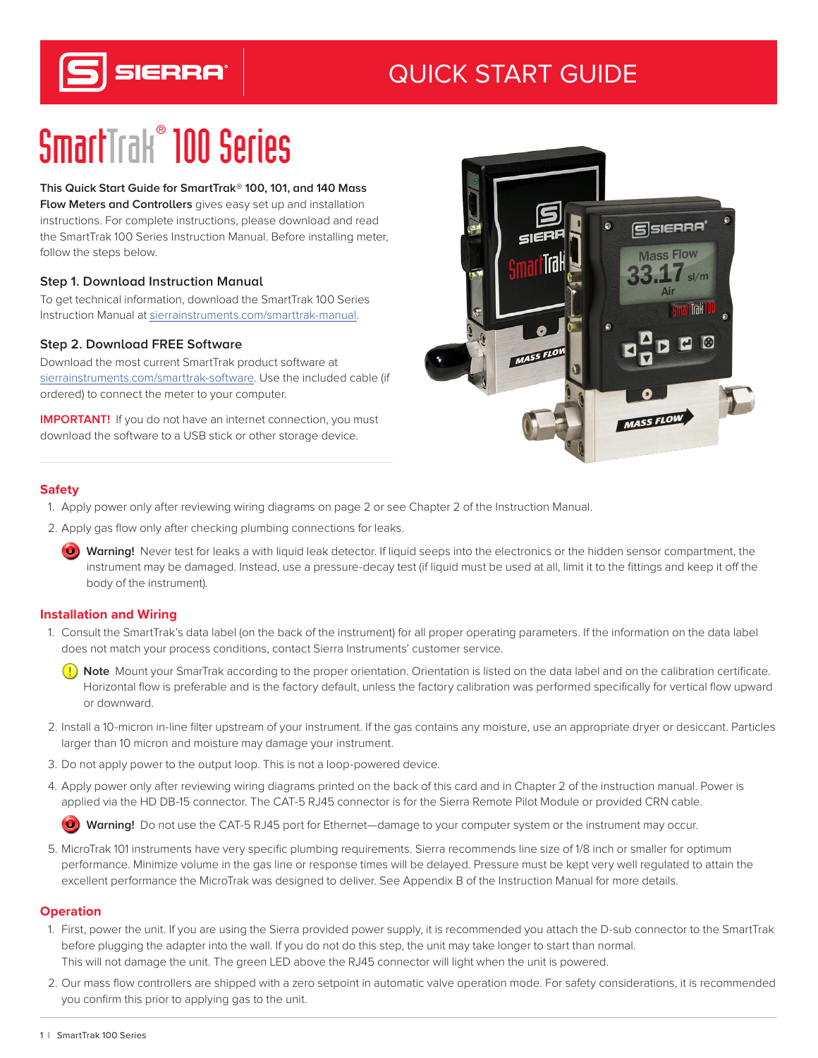

# QUICK START GUIDE

# SmartTrak® 100 Series

#### **This Quick Start Guide for SmartTrak® 100, 101, and 140 Mass**

**Flow Meters and Controllers** gives easy set up and installation instructions. For complete instructions, please download and read the SmartTrak 100 Series Instruction Manual. Before installing meter, follow the steps below.

#### **Step 1. Download Instruction Manual**

To get technical information, download the SmartTrak 100 Series Instruction Manual at [sierrainstruments.com/smarttrak-manual.](https://www.sierrainstruments.com/userfiles/file/manuals/100-series-instruction-manual.pdf?x=4031)

#### **Step 2. Download FREE Software**

Download the most current SmartTrak product software at [sierrainstruments.com/smarttrak-software](https://www.sierrainstruments.com/products/downloads/smarttrak-100-mass-flow-meters-controllers). Use the included cable (if ordered) to connect the meter to your computer.

**IMPORTANT!** If you do not have an internet connection, you must download the software to a USB stick or other storage device.



#### **Safety**

- 1. Apply power only after reviewing wiring diagrams on page 2 or see Chapter 2 of the Instruction Manual.
- 2. Apply gas flow only after checking plumbing connections for leaks.
	- **Warning!** Never test for leaks a with liquid leak detector. If liquid seeps into the electronics or the hidden sensor compartment, the instrument may be damaged. Instead, use a pressure-decay test (if liquid must be used at all, limit it to the fittings and keep it off the body of the instrument).

#### **Installation and Wiring**

- 1. Consult the SmartTrak's data label (on the back of the instrument) for all proper operating parameters. If the information on the data label does not match your process conditions, contact Sierra Instruments' customer service.
	- **Note** Mount your SmarTrak according to the proper orientation. Orientation is listed on the data label and on the calibration certificate. Horizontal flow is preferable and is the factory default, unless the factory calibration was performed specifically for vertical flow upward or downward.
- 2. Install a 10-micron in-line filter upstream of your instrument. If the gas contains any moisture, use an appropriate dryer or desiccant. Particles larger than 10 micron and moisture may damage your instrument.
- 3. Do not apply power to the output loop. This is not a loop-powered device.
- 4. Apply power only after reviewing wiring diagrams printed on the back of this card and in Chapter 2 of the instruction manual. Power is applied via the HD DB-15 connector. The CAT-5 RJ45 connector is for the Sierra Remote Pilot Module or provided CRN cable.

**Warning!** Do not use the CAT-5 RJ45 port for Ethernet—damage to your computer system or the instrument may occur.

5. MicroTrak 101 instruments have very specific plumbing requirements. Sierra recommends line size of 1/8 inch or smaller for optimum performance. Minimize volume in the gas line or response times will be delayed. Pressure must be kept very well regulated to attain the excellent performance the MicroTrak was designed to deliver. See Appendix B of the Instruction Manual for more details.

#### **Operation**

- 1. First, power the unit. If you are using the Sierra provided power supply, it is recommended you attach the D-sub connector to the SmartTrak before plugging the adapter into the wall. If you do not do this step, the unit may take longer to start than normal. This will not damage the unit. The green LED above the RJ45 connector will light when the unit is powered.
- 2. Our mass flow controllers are shipped with a zero setpoint in automatic valve operation mode. For safety considerations, it is recommended you confirm this prior to applying gas to the unit.